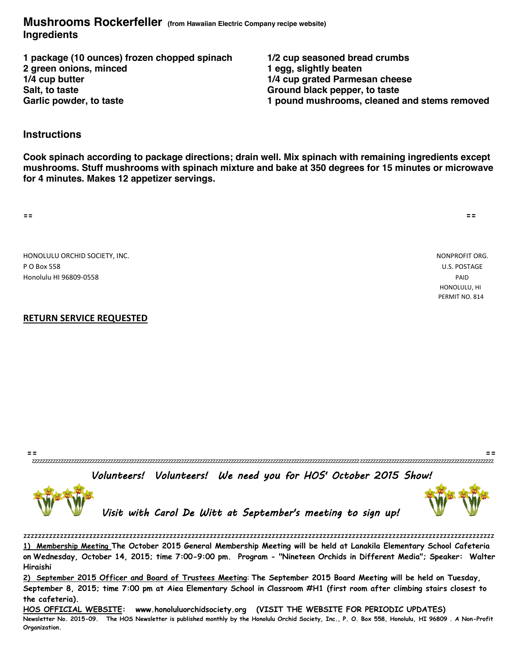### **Mushrooms Rockerfeller (from Hawaiian Electric Company recipe website) Ingredients**

**1 package (10 ounces) frozen chopped spinach 1/2 cup seasoned bread crumbs 2 green onions, minced 1 egg, slightly beaten Salt, to taste Ground black pepper, to taste**

**1/4 cup grated Parmesan cheese Garlic powder, to taste 1 pound mushrooms, cleaned and stems removed**

### **Instructions**

**Cook spinach according to package directions; drain well. Mix spinach with remaining ingredients except mushrooms. Stuff mushrooms with spinach mixture and bake at 350 degrees for 15 minutes or microwave for 4 minutes. Makes 12 appetizer servings.**

**== ==**

HONOLULU ORCHID SOCIETY, INC. NONPROFIT ORG. P O Box 558 U.S. POSTAGE Honolulu HI 96809-0558 PAID

# HONOLULU, HI PERMIT NO. 814

### **RETURN SERVICE REQUESTED**

**== ==** zzzzzzzzzzzzzzzzzzzzzzzzzzzzzzzzzzzzzzzzzzzzzzzzzzzzzzzzzzzzzzzzzzzzzzzzzzzzzzzzzzzzzzzzzzzzzzzzzzzzzzzzzzzzzzzzzzzzzzzzzzzzzzzzzzzzzzzzzzzzzzzzzzzzzzzzzzzzzzzzzzzzzzzzzzzzzzzz

Volunteers! Volunteers! We need you for HOS' October 2015 Show!





Visit with Carol De Witt at September's meeting to sign up!

zzzzzzzzzzzzzzzzzzzzzzzzzzzzzzzzzzzzzzzzzzzzzzzzzzzzzzzzzzzzzzzzzzzzzzzzzzzzzzzzzzzzzzzzzzzzzzzzzzzzzzzzzzzzzzzzzzzzzzzzzzzzzzzzz **1) Membership Meeting The October 2015 General Membership Meeting will be held at Lanakila Elementary School Cafeteria on Wednesday, October 14, 2015; time 7:00-9:00 pm. Program - "Nineteen Orchids in Different Media"; Speaker: Walter Hiraishi**

**2) September 2015 Officer and Board of Trustees Meeting**: **The September 2015 Board Meeting will be held on Tuesday, September 8, 2015; time 7:00 pm at Aiea Elementary School in Classroom #H1 (first room after climbing stairs closest to the cafeteria).** 

**HOS OFFICIAL WEBSITE: www.honoluluorchidsociety.org (VISIT THE WEBSITE FOR PERIODIC UPDATES) Newsletter No. 2015-09. The HOS Newsletter is published monthly by the Honolulu Orchid Society, Inc., P. O. Box 558, Honolulu, HI 96809 . A Non-Profit Organization.**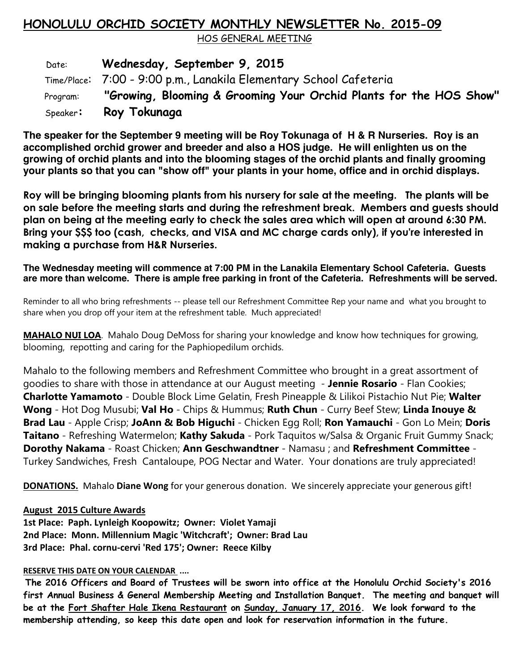### **HONOLULU ORCHID SOCIETY MONTHLY NEWSLETTER No. 2015-09**

HOS GENERAL MEETING

 Date: **Wednesday, September 9, 2015** Time/Place: 7:00 - 9:00 p.m., Lanakila Elementary School Cafeteria Program: **"Growing, Blooming & Grooming Your Orchid Plants for the HOS Show"** Speaker**: Roy Tokunaga** 

**The speaker for the September 9 meeting will be Roy Tokunaga of H & R Nurseries. Roy is an accomplished orchid grower and breeder and also a HOS judge. He will enlighten us on the growing of orchid plants and into the blooming stages of the orchid plants and finally grooming your plants so that you can "show off" your plants in your home, office and in orchid displays.** 

**Roy will be bringing blooming plants from his nursery for sale at the meeting. The plants will be on sale before the meeting starts and during the refreshment break. Members and guests should plan on being at the meeting early to check the sales area which will open at around 6:30 PM. Bring your \$\$\$ too (cash, checks, and VISA and MC charge cards only), if you're interested in making a purchase from H&R Nurseries.**

**The Wednesday meeting will commence at 7:00 PM in the Lanakila Elementary School Cafeteria. Guests are more than welcome. There is ample free parking in front of the Cafeteria. Refreshments will be served.**

Reminder to all who bring refreshments -- please tell our Refreshment Committee Rep your name and what you brought to share when you drop off your item at the refreshment table. Much appreciated!

**MAHALO NUI LOA**. Mahalo Doug DeMoss for sharing your knowledge and know how techniques for growing, blooming, repotting and caring for the Paphiopedilum orchids.

Mahalo to the following members and Refreshment Committee who brought in a great assortment of goodies to share with those in attendance at our August meeting - **Jennie Rosario** - Flan Cookies; **Charlotte Yamamoto** - Double Block Lime Gelatin, Fresh Pineapple & Lilikoi Pistachio Nut Pie; **Walter Wong** - Hot Dog Musubi; **Val Ho** - Chips & Hummus; **Ruth Chun** - Curry Beef Stew; **Linda Inouye & Brad Lau** - Apple Crisp; **JoAnn & Bob Higuchi** - Chicken Egg Roll; **Ron Yamauchi** - Gon Lo Mein; **Doris Taitano** - Refreshing Watermelon; **Kathy Sakuda** - Pork Taquitos w/Salsa & Organic Fruit Gummy Snack; **Dorothy Nakama** - Roast Chicken; **Ann Geschwandtner** - Namasu ; and **Refreshment Committee** - Turkey Sandwiches, Fresh Cantaloupe, POG Nectar and Water. Your donations are truly appreciated!

**DONATIONS.** Mahalo **Diane Wong** for your generous donation. We sincerely appreciate your generous gift!

### **August 2015 Culture Awards**

**1st Place: Paph. Lynleigh Koopowitz; Owner: Violet Yamaji 2nd Place: Monn. Millennium Magic 'Witchcraft'; Owner: Brad Lau 3rd Place: Phal. cornu-cervi 'Red 175'; Owner: Reece Kilby** 

### **RESERVE THIS DATE ON YOUR CALENDAR ....**

**The 2016 Officers and Board of Trustees will be sworn into office at the Honolulu Orchid Society's 2016 first Annual Business & General Membership Meeting and Installation Banquet. The meeting and banquet will be at the Fort Shafter Hale Ikena Restaurant on Sunday, January 17, 2016. We look forward to the membership attending, so keep this date open and look for reservation information in the future.**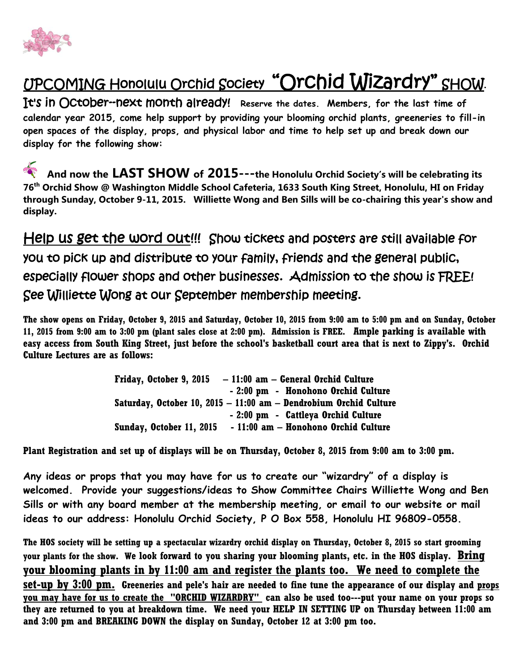

## UPCOMING Honolulu Orchid Society "Orchid Wizardry" SHOW.

It's in October--next month already! **Reserve the dates. Members, for the last time of calendar year 2015, come help support by providing your blooming orchid plants, greeneries to fill-in open spaces of the display, props, and physical labor and time to help set up and break down our display for the following show:**

**And now the LAST SHOW of 2015---the Honolulu Orchid Society's will be celebrating its 76th Orchid Show @ Washington Middle School Cafeteria, 1633 South King Street, Honolulu, HI on Friday through Sunday, October 9-11, 2015. Williette Wong and Ben Sills will be co-chairing this year's show and display.**

Help us get the word out!!! Show tickets and posters are still available for you to pick up and distribute to your family, friends and the general public, especially flower shops and other businesses. Admission to the show is FREE! See Williette Wong at our September membership meeting.

**The show opens on Friday, October 9, 2015 and Saturday, October 10, 2015 from 9:00 am to 5:00 pm and on Sunday, October 11, 2015 from 9:00 am to 3:00 pm (plant sales close at 2:00 pm). Admission is FREE. Ample parking is available with easy access from South King Street, just before the school's basketball court area that is next to Zippy's. Orchid Culture Lectures are as follows:**

| Friday, October 9, 2015  | $-11:00$ am $-$ General Orchid Culture                            |
|--------------------------|-------------------------------------------------------------------|
|                          | - 2:00 pm - Honohono Orchid Culture                               |
|                          | Saturday, October 10, 2015 - 11:00 am - Dendrobium Orchid Culture |
|                          | - 2:00 pm - Cattleya Orchid Culture                               |
| Sunday, October 11, 2015 | - 11:00 am – Honohono Orchid Culture                              |

**Plant Registration and set up of displays will be on Thursday, October 8, 2015 from 9:00 am to 3:00 pm.** 

**Any ideas or props that you may have for us to create our "wizardry" of a display is welcomed. Provide your suggestions/ideas to Show Committee Chairs Williette Wong and Ben Sills or with any board member at the membership meeting, or email to our website or mail ideas to our address: Honolulu Orchid Society, P O Box 558, Honolulu HI 96809-0558.** 

**The HOS society will be setting up a spectacular wizardry orchid display on Thursday, October 8, 2015 so start grooming your plants for the show. We look forward to you sharing your blooming plants, etc. in the HOS display. Bring your blooming plants in by 11:00 am and register the plants too. We need to complete the set-up by 3:00 pm. Greeneries and pele's hair are needed to fine tune the appearance of our display and props you may have for us to create the "ORCHID WIZARDRY" can also be used too---put your name on your props so they are returned to you at breakdown time. We need your HELP IN SETTING UP on Thursday between 11:00 am and 3:00 pm and BREAKING DOWN the display on Sunday, October 12 at 3:00 pm too.**